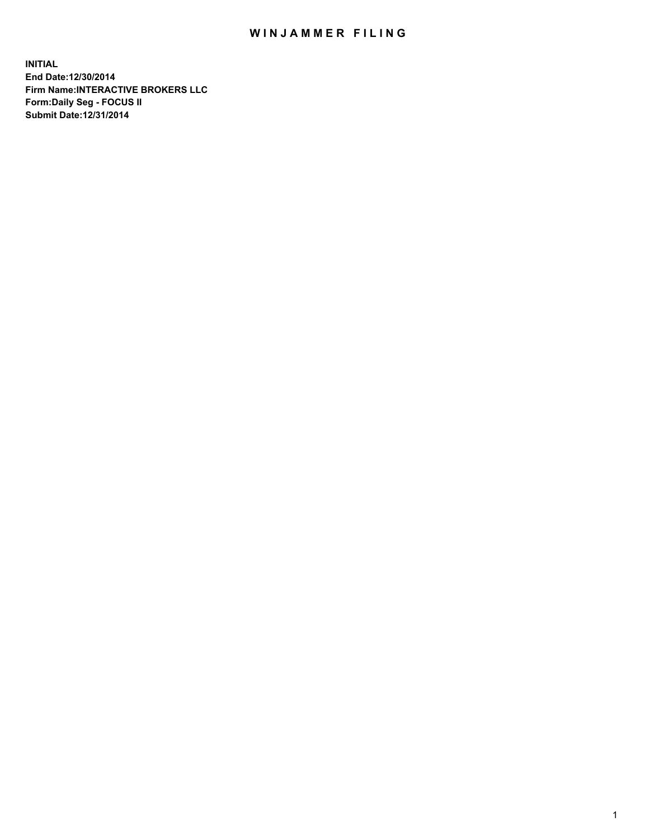## WIN JAMMER FILING

**INITIAL End Date:12/30/2014 Firm Name:INTERACTIVE BROKERS LLC Form:Daily Seg - FOCUS II Submit Date:12/31/2014**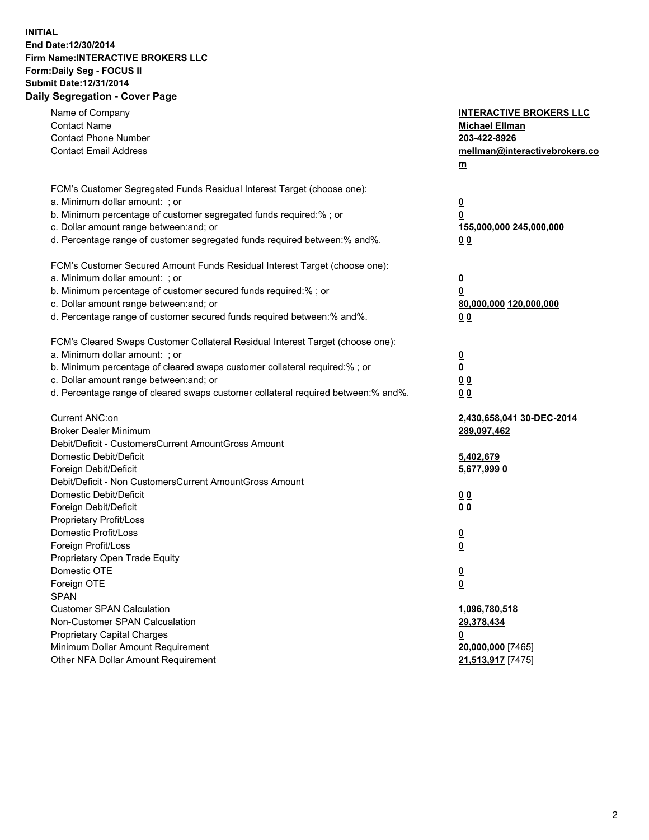## **INITIAL End Date:12/30/2014 Firm Name:INTERACTIVE BROKERS LLC Form:Daily Seg - FOCUS II Submit Date:12/31/2014 Daily Segregation - Cover Page**

| Name of Company<br><b>Contact Name</b><br><b>Contact Phone Number</b><br><b>Contact Email Address</b>                                                                                                                                                                                                                          | <b>INTERACTIVE BROKERS LLC</b><br><b>Michael Ellman</b><br>203-422-8926<br>mellman@interactivebrokers.co<br>$\underline{\mathbf{m}}$ |
|--------------------------------------------------------------------------------------------------------------------------------------------------------------------------------------------------------------------------------------------------------------------------------------------------------------------------------|--------------------------------------------------------------------------------------------------------------------------------------|
| FCM's Customer Segregated Funds Residual Interest Target (choose one):<br>a. Minimum dollar amount: ; or<br>b. Minimum percentage of customer segregated funds required:% ; or<br>c. Dollar amount range between: and; or<br>d. Percentage range of customer segregated funds required between:% and%.                         | <u>0</u><br>0<br><u>155,000,000 245,000,000</u><br>00                                                                                |
| FCM's Customer Secured Amount Funds Residual Interest Target (choose one):<br>a. Minimum dollar amount: ; or<br>b. Minimum percentage of customer secured funds required:% ; or<br>c. Dollar amount range between: and; or<br>d. Percentage range of customer secured funds required between:% and%.                           | <u>0</u><br>0<br>80,000,000 120,000,000<br>0 <sub>0</sub>                                                                            |
| FCM's Cleared Swaps Customer Collateral Residual Interest Target (choose one):<br>a. Minimum dollar amount: ; or<br>b. Minimum percentage of cleared swaps customer collateral required:% ; or<br>c. Dollar amount range between: and; or<br>d. Percentage range of cleared swaps customer collateral required between:% and%. | $\overline{\mathbf{0}}$<br>0<br>0 <sub>0</sub><br>0 <sub>0</sub>                                                                     |
| Current ANC:on<br><b>Broker Dealer Minimum</b><br>Debit/Deficit - CustomersCurrent AmountGross Amount<br>Domestic Debit/Deficit                                                                                                                                                                                                | 2,430,658,041 30-DEC-2014<br>289,097,462<br>5,402,679                                                                                |
| Foreign Debit/Deficit<br>Debit/Deficit - Non CustomersCurrent AmountGross Amount<br>Domestic Debit/Deficit<br>Foreign Debit/Deficit<br>Proprietary Profit/Loss<br>Domestic Profit/Loss                                                                                                                                         | 5,677,9990<br>0 <sub>0</sub><br>0 <sub>0</sub><br><u>0</u>                                                                           |
| Foreign Profit/Loss<br>Proprietary Open Trade Equity<br>Domestic OTE<br>Foreign OTE<br><b>SPAN</b>                                                                                                                                                                                                                             | $\underline{\mathbf{0}}$<br><u>0</u><br><u>0</u>                                                                                     |
| <b>Customer SPAN Calculation</b><br>Non-Customer SPAN Calcualation<br><b>Proprietary Capital Charges</b><br>Minimum Dollar Amount Requirement<br>Other NFA Dollar Amount Requirement                                                                                                                                           | 1,096,780,518<br>29,378,434<br><u>0</u><br>20,000,000 [7465]<br>21,513,917 [7475]                                                    |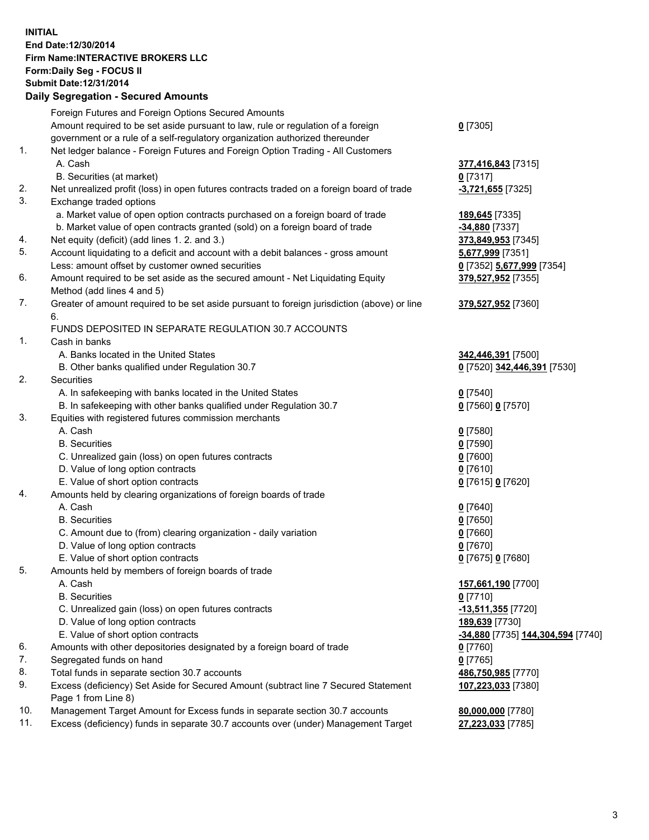## **INITIAL End Date:12/30/2014 Firm Name:INTERACTIVE BROKERS LLC Form:Daily Seg - FOCUS II Submit Date:12/31/2014 Daily Segregation - Secured Amounts**

|                | Daily Ocglegation - Occarea Anioants                                                                       |                                   |
|----------------|------------------------------------------------------------------------------------------------------------|-----------------------------------|
|                | Foreign Futures and Foreign Options Secured Amounts                                                        |                                   |
|                | Amount required to be set aside pursuant to law, rule or regulation of a foreign                           | $0$ [7305]                        |
|                | government or a rule of a self-regulatory organization authorized thereunder                               |                                   |
| 1.             | Net ledger balance - Foreign Futures and Foreign Option Trading - All Customers                            |                                   |
|                | A. Cash                                                                                                    | 377,416,843 [7315]                |
|                | B. Securities (at market)                                                                                  | $0$ [7317]                        |
| 2.             | Net unrealized profit (loss) in open futures contracts traded on a foreign board of trade                  | -3,721,655 [7325]                 |
| 3.             | Exchange traded options                                                                                    |                                   |
|                | a. Market value of open option contracts purchased on a foreign board of trade                             | 189,645 [7335]                    |
|                | b. Market value of open contracts granted (sold) on a foreign board of trade                               | -34,880 [7337]                    |
| 4.             | Net equity (deficit) (add lines 1.2. and 3.)                                                               | 373,849,953 [7345]                |
| 5.             | Account liquidating to a deficit and account with a debit balances - gross amount                          | 5,677,999 [7351]                  |
|                | Less: amount offset by customer owned securities                                                           | 0 [7352] 5,677,999 [7354]         |
| 6.             | Amount required to be set aside as the secured amount - Net Liquidating Equity                             | 379,527,952 [7355]                |
|                | Method (add lines 4 and 5)                                                                                 |                                   |
| 7.             | Greater of amount required to be set aside pursuant to foreign jurisdiction (above) or line                | 379,527,952 [7360]                |
|                | 6.                                                                                                         |                                   |
|                | FUNDS DEPOSITED IN SEPARATE REGULATION 30.7 ACCOUNTS                                                       |                                   |
| $\mathbf{1}$ . | Cash in banks                                                                                              |                                   |
|                | A. Banks located in the United States                                                                      | 342,446,391 [7500]                |
|                | B. Other banks qualified under Regulation 30.7                                                             | 0 [7520] 342,446,391 [7530]       |
| 2.             | Securities                                                                                                 |                                   |
|                | A. In safekeeping with banks located in the United States                                                  | $0$ [7540]                        |
|                | B. In safekeeping with other banks qualified under Regulation 30.7                                         | 0 [7560] 0 [7570]                 |
| 3.             | Equities with registered futures commission merchants                                                      |                                   |
|                | A. Cash                                                                                                    | $0$ [7580]                        |
|                | <b>B.</b> Securities                                                                                       | $0$ [7590]                        |
|                | C. Unrealized gain (loss) on open futures contracts                                                        | $0$ [7600]                        |
|                | D. Value of long option contracts                                                                          | $0$ [7610]                        |
|                | E. Value of short option contracts                                                                         | 0 [7615] 0 [7620]                 |
| 4.             | Amounts held by clearing organizations of foreign boards of trade                                          |                                   |
|                | A. Cash                                                                                                    | $0$ [7640]                        |
|                | <b>B.</b> Securities                                                                                       | $0$ [7650]                        |
|                | C. Amount due to (from) clearing organization - daily variation                                            | $0$ [7660]                        |
|                | D. Value of long option contracts                                                                          | $0$ [7670]                        |
|                | E. Value of short option contracts                                                                         | 0 [7675] 0 [7680]                 |
| 5.             | Amounts held by members of foreign boards of trade                                                         |                                   |
|                | A. Cash                                                                                                    | 157,661,190 [7700]                |
|                | <b>B.</b> Securities                                                                                       | $0$ [7710]                        |
|                | C. Unrealized gain (loss) on open futures contracts                                                        | -13,511,355 [7720]                |
|                | D. Value of long option contracts                                                                          | 189,639 [7730]                    |
|                | E. Value of short option contracts                                                                         | -34,880 [7735] 144,304,594 [7740] |
| 6.             | Amounts with other depositories designated by a foreign board of trade                                     | 0 [7760]                          |
| 7.             | Segregated funds on hand                                                                                   | $0$ [7765]                        |
| 8.             | Total funds in separate section 30.7 accounts                                                              | 486,750,985 [7770]                |
| 9.             | Excess (deficiency) Set Aside for Secured Amount (subtract line 7 Secured Statement<br>Page 1 from Line 8) | 107,223,033 [7380]                |
| 10.            | Management Target Amount for Excess funds in separate section 30.7 accounts                                | 80,000,000 [7780]                 |
| 11.            | Excess (deficiency) funds in separate 30.7 accounts over (under) Management Target                         | 27,223,033 [7785]                 |
|                |                                                                                                            |                                   |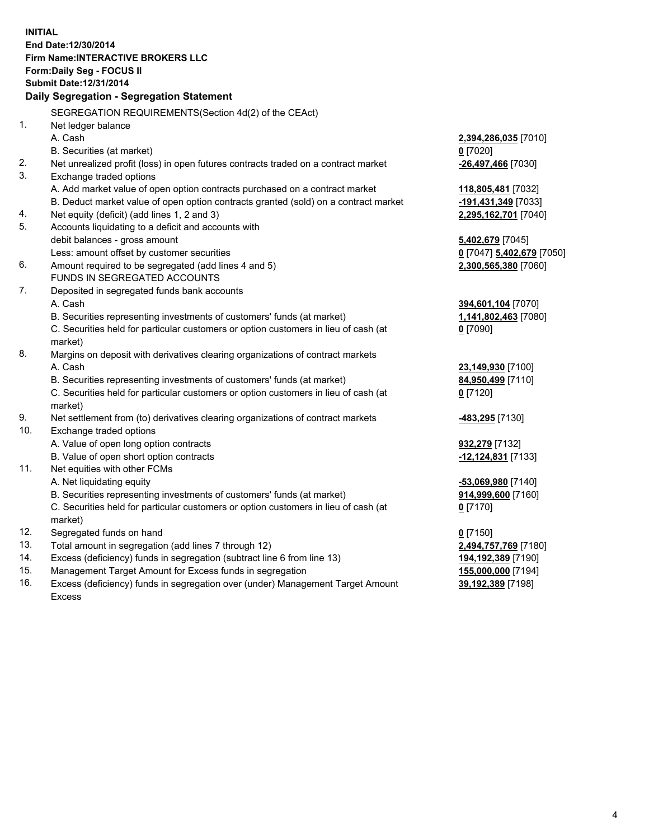**INITIAL End Date:12/30/2014 Firm Name:INTERACTIVE BROKERS LLC Form:Daily Seg - FOCUS II Submit Date:12/31/2014 Daily Segregation - Segregation Statement** SEGREGATION REQUIREMENTS(Section 4d(2) of the CEAct) 1. Net ledger balance A. Cash **2,394,286,035** [7010] B. Securities (at market) **0** [7020] 2. Net unrealized profit (loss) in open futures contracts traded on a contract market **-26,497,466** [7030] 3. Exchange traded options A. Add market value of open option contracts purchased on a contract market **118,805,481** [7032] B. Deduct market value of open option contracts granted (sold) on a contract market **-191,431,349** [7033] 4. Net equity (deficit) (add lines 1, 2 and 3) **2,295,162,701** [7040] 5. Accounts liquidating to a deficit and accounts with debit balances - gross amount **5,402,679** [7045] Less: amount offset by customer securities **0** [7047] **5,402,679** [7050] 6. Amount required to be segregated (add lines 4 and 5) **2,300,565,380** [7060] FUNDS IN SEGREGATED ACCOUNTS 7. Deposited in segregated funds bank accounts A. Cash **394,601,104** [7070] B. Securities representing investments of customers' funds (at market) **1,141,802,463** [7080] C. Securities held for particular customers or option customers in lieu of cash (at market) **0** [7090] 8. Margins on deposit with derivatives clearing organizations of contract markets A. Cash **23,149,930** [7100] B. Securities representing investments of customers' funds (at market) **84,950,499** [7110] C. Securities held for particular customers or option customers in lieu of cash (at market) **0** [7120] 9. Net settlement from (to) derivatives clearing organizations of contract markets **-483,295** [7130] 10. Exchange traded options A. Value of open long option contracts **932,279** [7132] B. Value of open short option contracts **-12,124,831** [7133] 11. Net equities with other FCMs A. Net liquidating equity **-53,069,980** [7140] B. Securities representing investments of customers' funds (at market) **914,999,600** [7160] C. Securities held for particular customers or option customers in lieu of cash (at market) **0** [7170] 12. Segregated funds on hand **0** [7150] 13. Total amount in segregation (add lines 7 through 12) **2,494,757,769** [7180] 14. Excess (deficiency) funds in segregation (subtract line 6 from line 13) **194,192,389** [7190] 15. Management Target Amount for Excess funds in segregation **155,000,000** [7194] **39,192,389** [7198]

16. Excess (deficiency) funds in segregation over (under) Management Target Amount Excess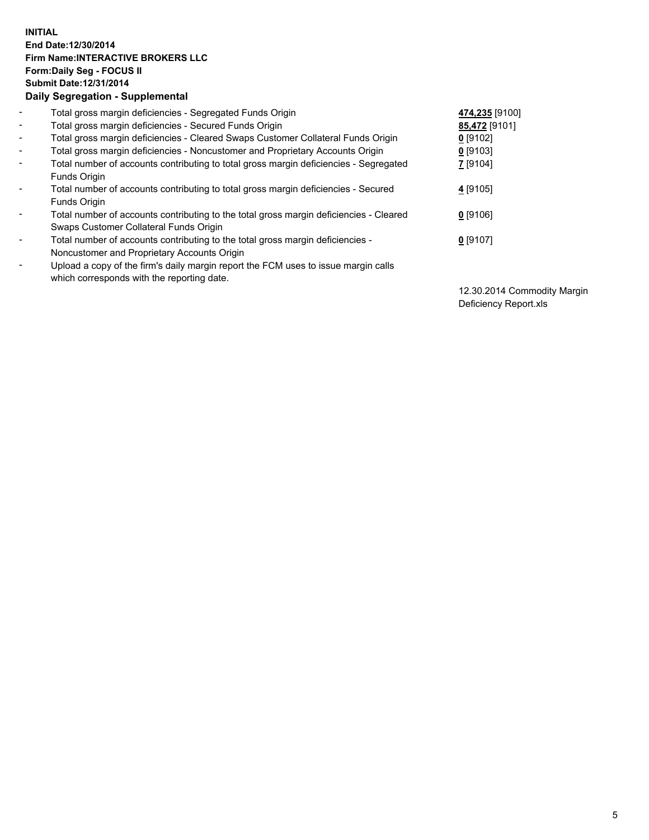## **INITIAL End Date:12/30/2014 Firm Name:INTERACTIVE BROKERS LLC Form:Daily Seg - FOCUS II Submit Date:12/31/2014 Daily Segregation - Supplemental**

| $\blacksquare$ | Total gross margin deficiencies - Segregated Funds Origin                              | 474,235 [9100] |
|----------------|----------------------------------------------------------------------------------------|----------------|
| $\blacksquare$ | Total gross margin deficiencies - Secured Funds Origin                                 | 85,472 [9101]  |
| $\blacksquare$ | Total gross margin deficiencies - Cleared Swaps Customer Collateral Funds Origin       | $0$ [9102]     |
| $\blacksquare$ | Total gross margin deficiencies - Noncustomer and Proprietary Accounts Origin          | 0 [9103]       |
| $\blacksquare$ | Total number of accounts contributing to total gross margin deficiencies - Segregated  | 7 [9104]       |
|                | <b>Funds Origin</b>                                                                    |                |
| $\blacksquare$ | Total number of accounts contributing to total gross margin deficiencies - Secured     | 4 [9105]       |
|                | <b>Funds Origin</b>                                                                    |                |
| $\blacksquare$ | Total number of accounts contributing to the total gross margin deficiencies - Cleared | $0$ [9106]     |
|                | Swaps Customer Collateral Funds Origin                                                 |                |
| $\blacksquare$ | Total number of accounts contributing to the total gross margin deficiencies -         | $0$ [9107]     |
|                | Noncustomer and Proprietary Accounts Origin                                            |                |
| $\blacksquare$ | Upload a copy of the firm's daily margin report the FCM uses to issue margin calls     |                |
|                | which corresponds with the reporting date.                                             |                |

12.30.2014 Commodity Margin Deficiency Report.xls